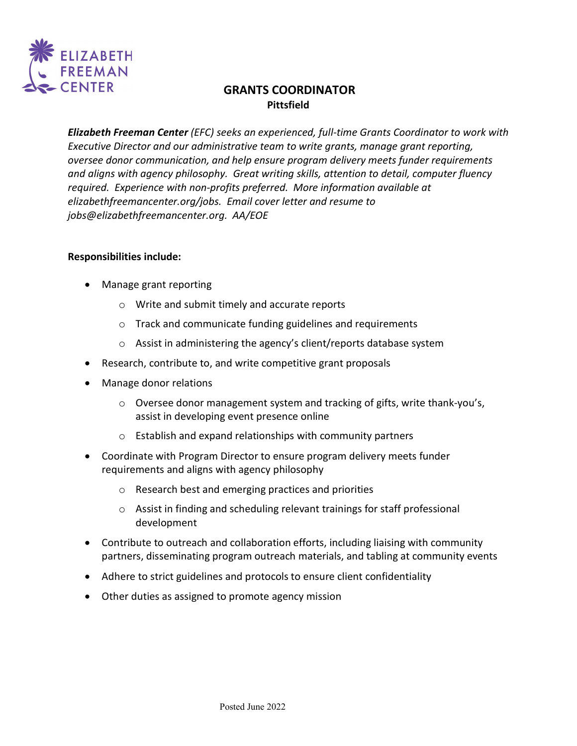

# **GRANTS COORDINATOR Pittsfield**

*Elizabeth Freeman Center (EFC) seeks an experienced, full-time Grants Coordinator to work with Executive Director and our administrative team to write grants, manage grant reporting, oversee donor communication, and help ensure program delivery meets funder requirements and aligns with agency philosophy. Great writing skills, attention to detail, computer fluency required. Experience with non-profits preferred. More information available at elizabethfreemancenter.org/jobs. Email cover letter and resume to jobs@elizabethfreemancenter.org. AA/EOE*

#### **Responsibilities include:**

- Manage grant reporting
	- o Write and submit timely and accurate reports
	- o Track and communicate funding guidelines and requirements
	- o Assist in administering the agency's client/reports database system
- Research, contribute to, and write competitive grant proposals
- Manage donor relations
	- $\circ$  Oversee donor management system and tracking of gifts, write thank-you's, assist in developing event presence online
	- o Establish and expand relationships with community partners
- Coordinate with Program Director to ensure program delivery meets funder requirements and aligns with agency philosophy
	- o Research best and emerging practices and priorities
	- o Assist in finding and scheduling relevant trainings for staff professional development
- Contribute to outreach and collaboration efforts, including liaising with community partners, disseminating program outreach materials, and tabling at community events
- Adhere to strict guidelines and protocols to ensure client confidentiality
- Other duties as assigned to promote agency mission